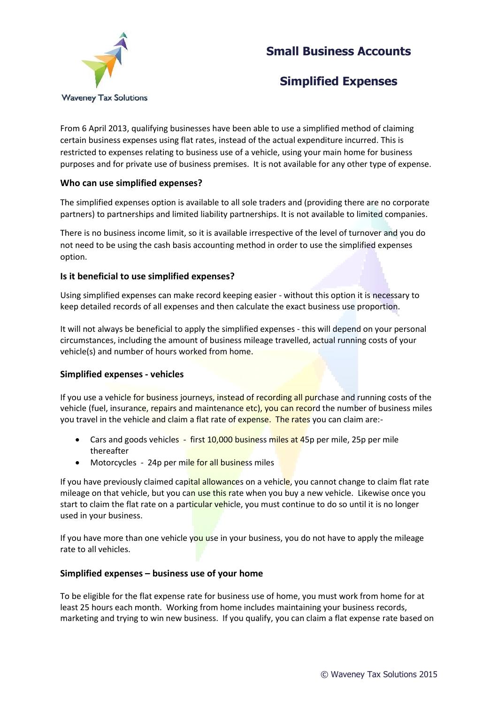# **Small Business Accounts**



# **Simplified Expenses**

From 6 April 2013, qualifying businesses have been able to use a simplified method of claiming certain business expenses using flat rates, instead of the actual expenditure incurred. This is restricted to expenses relating to business use of a vehicle, using your main home for business purposes and for private use of business premises. It is not available for any other type of expense.

### **Who can use simplified expenses?**

The simplified expenses option is available to all sole traders and (providing there are no corporate partners) to partnerships and limited liability partnerships. It is not available to limited companies.

There is no business income limit, so it is available irrespective of the level of turnover and you do not need to be using the cash basis accounting method in order to use the simplified expenses option.

### **Is it beneficial to use simplified expenses?**

Using simplified expenses can make record keeping easier - without this option it is necessary to keep detailed records of all expenses and then calculate the exact business use proportion.

It will not always be beneficial to apply the simplified expenses - this will depend on your personal circumstances, including the amount of business mileage travelled, actual running costs of your vehicle(s) and number of hours worked from home.

### **Simplified expenses - vehicles**

If you use a vehicle for business journeys, instead of recording all purchase and running costs of the vehicle (fuel, insurance, repairs and maintenance etc), you can record the number of business miles you travel in the vehicle and claim a flat rate of expense. The rates you can claim are:-

- Cars and goods vehicles first 10,000 business miles at 45p per mile, 25p per mile thereafter
- Motorcycles 24p per mile for all business miles

If you have previously claimed capital allowances on a vehicle, you cannot change to claim flat rate mileage on that vehicle, but you can use this rate when you buy a new vehicle. Likewise once you start to claim the flat rate on a particular vehicle, you must continue to do so until it is no longer used in your business.

If you have more than one vehicle you use in your business, you do not have to apply the mileage rate to all vehicles.

### **Simplified expenses – business use of your home**

To be eligible for the flat expense rate for business use of home, you must work from home for at least 25 hours each month. Working from home includes maintaining your business records, marketing and trying to win new business. If you qualify, you can claim a flat expense rate based on